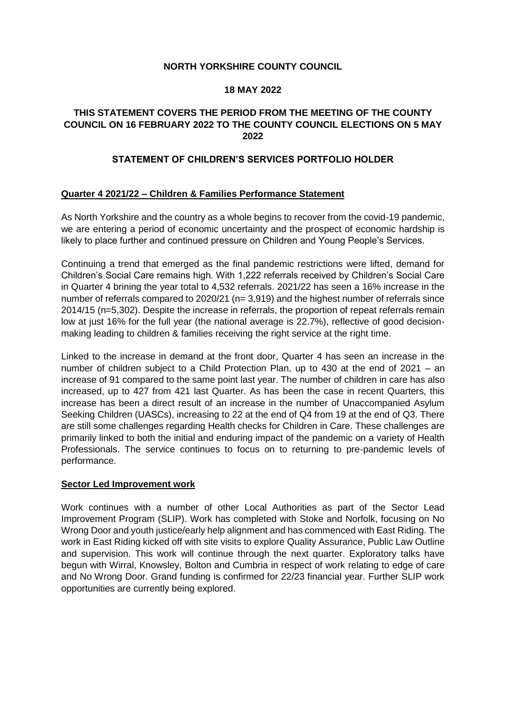## **NORTH YORKSHIRE COUNTY COUNCIL**

## **18 MAY 2022**

# **THIS STATEMENT COVERS THE PERIOD FROM THE MEETING OF THE COUNTY COUNCIL ON 16 FEBRUARY 2022 TO THE COUNTY COUNCIL ELECTIONS ON 5 MAY 2022**

## **STATEMENT OF CHILDREN'S SERVICES PORTFOLIO HOLDER**

#### **Quarter 4 2021/22 – Children & Families Performance Statement**

As North Yorkshire and the country as a whole begins to recover from the covid-19 pandemic, we are entering a period of economic uncertainty and the prospect of economic hardship is likely to place further and continued pressure on Children and Young People's Services.

Continuing a trend that emerged as the final pandemic restrictions were lifted, demand for Children's Social Care remains high. With 1,222 referrals received by Children's Social Care in Quarter 4 brining the year total to 4,532 referrals. 2021/22 has seen a 16% increase in the number of referrals compared to 2020/21 (n= 3,919) and the highest number of referrals since 2014/15 (n=5,302). Despite the increase in referrals, the proportion of repeat referrals remain low at just 16% for the full year (the national average is 22.7%), reflective of good decisionmaking leading to children & families receiving the right service at the right time.

Linked to the increase in demand at the front door, Quarter 4 has seen an increase in the number of children subject to a Child Protection Plan, up to 430 at the end of 2021 – an increase of 91 compared to the same point last year. The number of children in care has also increased, up to 427 from 421 last Quarter. As has been the case in recent Quarters, this increase has been a direct result of an increase in the number of Unaccompanied Asylum Seeking Children (UASCs), increasing to 22 at the end of Q4 from 19 at the end of Q3. There are still some challenges regarding Health checks for Children in Care. These challenges are primarily linked to both the initial and enduring impact of the pandemic on a variety of Health Professionals. The service continues to focus on to returning to pre-pandemic levels of performance.

#### **Sector Led Improvement work**

Work continues with a number of other Local Authorities as part of the Sector Lead Improvement Program (SLIP). Work has completed with Stoke and Norfolk, focusing on No Wrong Door and youth justice/early help alignment and has commenced with East Riding. The work in East Riding kicked off with site visits to explore Quality Assurance, Public Law Outline and supervision. This work will continue through the next quarter. Exploratory talks have begun with Wirral, Knowsley, Bolton and Cumbria in respect of work relating to edge of care and No Wrong Door. Grand funding is confirmed for 22/23 financial year. Further SLIP work opportunities are currently being explored.